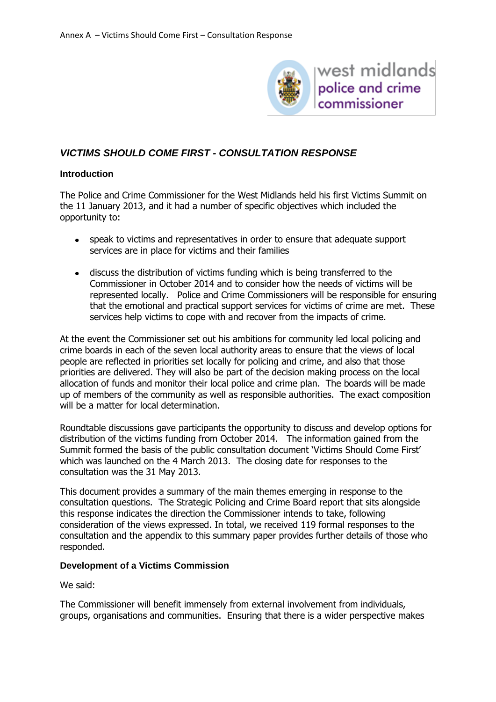

west midlands police and crime commissioner

# *VICTIMS SHOULD COME FIRST - CONSULTATION RESPONSE*

### **Introduction**

The Police and Crime Commissioner for the West Midlands held his first Victims Summit on the 11 January 2013, and it had a number of specific objectives which included the opportunity to:

- speak to victims and representatives in order to ensure that adequate support services are in place for victims and their families
- discuss the distribution of victims funding which is being transferred to the Commissioner in October 2014 and to consider how the needs of victims will be represented locally. Police and Crime Commissioners will be responsible for ensuring that the emotional and practical support services for victims of crime are met. These services help victims to cope with and recover from the impacts of crime.

At the event the Commissioner set out his ambitions for community led local policing and crime boards in each of the seven local authority areas to ensure that the views of local people are reflected in priorities set locally for policing and crime, and also that those priorities are delivered. They will also be part of the decision making process on the local allocation of funds and monitor their local police and crime plan. The boards will be made up of members of the community as well as responsible authorities. The exact composition will be a matter for local determination.

Roundtable discussions gave participants the opportunity to discuss and develop options for distribution of the victims funding from October 2014. The information gained from the Summit formed the basis of the public consultation document 'Victims Should Come First' which was launched on the 4 March 2013. The closing date for responses to the consultation was the 31 May 2013.

This document provides a summary of the main themes emerging in response to the consultation questions. The Strategic Policing and Crime Board report that sits alongside this response indicates the direction the Commissioner intends to take, following consideration of the views expressed. In total, we received 119 formal responses to the consultation and the appendix to this summary paper provides further details of those who responded.

### **Development of a Victims Commission**

We said:

The Commissioner will benefit immensely from external involvement from individuals, groups, organisations and communities. Ensuring that there is a wider perspective makes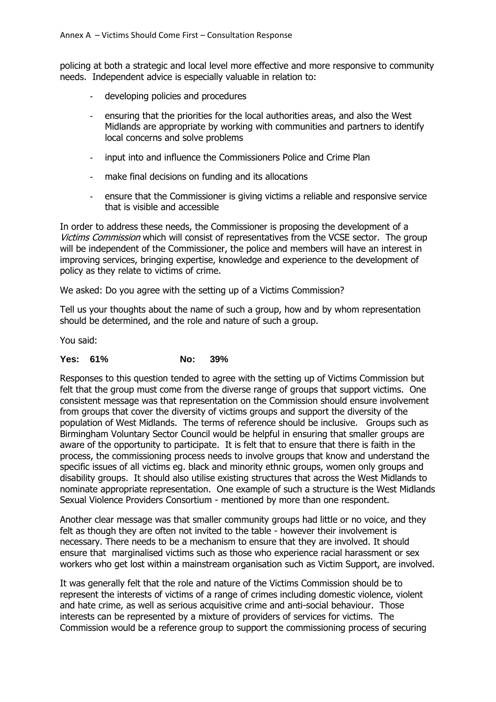policing at both a strategic and local level more effective and more responsive to community needs. Independent advice is especially valuable in relation to:

- developing policies and procedures
- ensuring that the priorities for the local authorities areas, and also the West Midlands are appropriate by working with communities and partners to identify local concerns and solve problems
- input into and influence the Commissioners Police and Crime Plan
- make final decisions on funding and its allocations
- ensure that the Commissioner is giving victims a reliable and responsive service that is visible and accessible

In order to address these needs, the Commissioner is proposing the development of a Victims Commission which will consist of representatives from the VCSE sector. The group will be independent of the Commissioner, the police and members will have an interest in improving services, bringing expertise, knowledge and experience to the development of policy as they relate to victims of crime.

We asked: Do you agree with the setting up of a Victims Commission?

Tell us your thoughts about the name of such a group, how and by whom representation should be determined, and the role and nature of such a group.

You said:

#### **Yes: 61% No: 39%**

Responses to this question tended to agree with the setting up of Victims Commission but felt that the group must come from the diverse range of groups that support victims. One consistent message was that representation on the Commission should ensure involvement from groups that cover the diversity of victims groups and support the diversity of the population of West Midlands. The terms of reference should be inclusive. Groups such as Birmingham Voluntary Sector Council would be helpful in ensuring that smaller groups are aware of the opportunity to participate. It is felt that to ensure that there is faith in the process, the commissioning process needs to involve groups that know and understand the specific issues of all victims eg. black and minority ethnic groups, women only groups and disability groups. It should also utilise existing structures that across the West Midlands to nominate appropriate representation. One example of such a structure is the West Midlands Sexual Violence Providers Consortium - mentioned by more than one respondent.

Another clear message was that smaller community groups had little or no voice, and they felt as though they are often not invited to the table - however their involvement is necessary. There needs to be a mechanism to ensure that they are involved. It should ensure that marginalised victims such as those who experience racial harassment or sex workers who get lost within a mainstream organisation such as Victim Support, are involved.

It was generally felt that the role and nature of the Victims Commission should be to represent the interests of victims of a range of crimes including domestic violence, violent and hate crime, as well as serious acquisitive crime and anti-social behaviour. Those interests can be represented by a mixture of providers of services for victims. The Commission would be a reference group to support the commissioning process of securing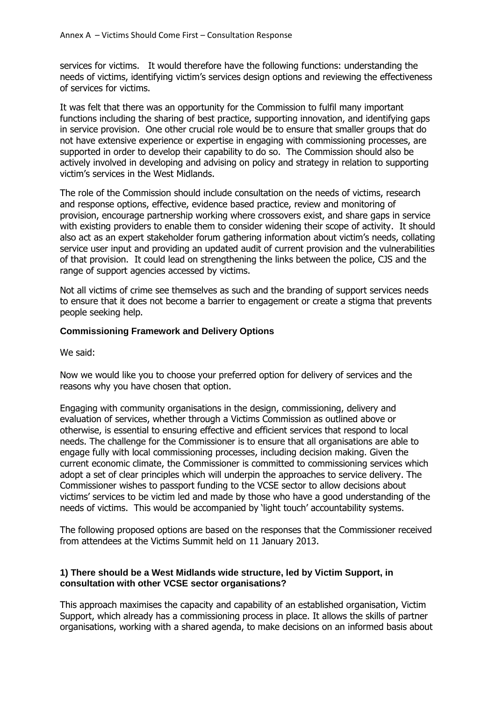services for victims. It would therefore have the following functions: understanding the needs of victims, identifying victim's services design options and reviewing the effectiveness of services for victims.

It was felt that there was an opportunity for the Commission to fulfil many important functions including the sharing of best practice, supporting innovation, and identifying gaps in service provision. One other crucial role would be to ensure that smaller groups that do not have extensive experience or expertise in engaging with commissioning processes, are supported in order to develop their capability to do so. The Commission should also be actively involved in developing and advising on policy and strategy in relation to supporting victim's services in the West Midlands.

The role of the Commission should include consultation on the needs of victims, research and response options, effective, evidence based practice, review and monitoring of provision, encourage partnership working where crossovers exist, and share gaps in service with existing providers to enable them to consider widening their scope of activity. It should also act as an expert stakeholder forum gathering information about victim's needs, collating service user input and providing an updated audit of current provision and the vulnerabilities of that provision. It could lead on strengthening the links between the police, CJS and the range of support agencies accessed by victims.

Not all victims of crime see themselves as such and the branding of support services needs to ensure that it does not become a barrier to engagement or create a stigma that prevents people seeking help.

### **Commissioning Framework and Delivery Options**

We said:

Now we would like you to choose your preferred option for delivery of services and the reasons why you have chosen that option.

Engaging with community organisations in the design, commissioning, delivery and evaluation of services, whether through a Victims Commission as outlined above or otherwise, is essential to ensuring effective and efficient services that respond to local needs. The challenge for the Commissioner is to ensure that all organisations are able to engage fully with local commissioning processes, including decision making. Given the current economic climate, the Commissioner is committed to commissioning services which adopt a set of clear principles which will underpin the approaches to service delivery. The Commissioner wishes to passport funding to the VCSE sector to allow decisions about victims' services to be victim led and made by those who have a good understanding of the needs of victims. This would be accompanied by 'light touch' accountability systems.

The following proposed options are based on the responses that the Commissioner received from attendees at the Victims Summit held on 11 January 2013.

### **1) There should be a West Midlands wide structure, led by Victim Support, in consultation with other VCSE sector organisations?**

This approach maximises the capacity and capability of an established organisation, Victim Support, which already has a commissioning process in place. It allows the skills of partner organisations, working with a shared agenda, to make decisions on an informed basis about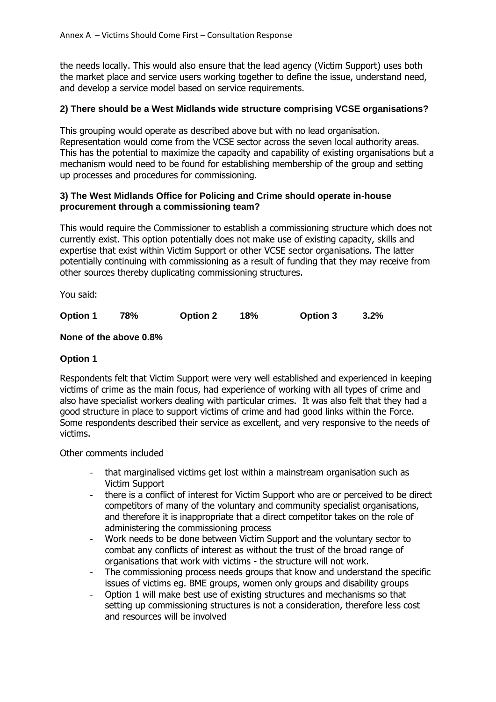the needs locally. This would also ensure that the lead agency (Victim Support) uses both the market place and service users working together to define the issue, understand need, and develop a service model based on service requirements.

### **2) There should be a West Midlands wide structure comprising VCSE organisations?**

This grouping would operate as described above but with no lead organisation. Representation would come from the VCSE sector across the seven local authority areas. This has the potential to maximize the capacity and capability of existing organisations but a mechanism would need to be found for establishing membership of the group and setting up processes and procedures for commissioning.

### **3) The West Midlands Office for Policing and Crime should operate in-house procurement through a commissioning team?**

This would require the Commissioner to establish a commissioning structure which does not currently exist. This option potentially does not make use of existing capacity, skills and expertise that exist within Victim Support or other VCSE sector organisations. The latter potentially continuing with commissioning as a result of funding that they may receive from other sources thereby duplicating commissioning structures.

You said:

| <b>Option 1</b> | 78% | <b>Option 2</b> | 18% | <b>Option 3</b> | 3.2% |
|-----------------|-----|-----------------|-----|-----------------|------|
|                 |     |                 |     |                 |      |

### **None of the above 0.8%**

### **Option 1**

Respondents felt that Victim Support were very well established and experienced in keeping victims of crime as the main focus, had experience of working with all types of crime and also have specialist workers dealing with particular crimes. It was also felt that they had a good structure in place to support victims of crime and had good links within the Force. Some respondents described their service as excellent, and very responsive to the needs of victims.

Other comments included

- that marginalised victims get lost within a mainstream organisation such as Victim Support
- there is a conflict of interest for Victim Support who are or perceived to be direct competitors of many of the voluntary and community specialist organisations, and therefore it is inappropriate that a direct competitor takes on the role of administering the commissioning process
- Work needs to be done between Victim Support and the voluntary sector to combat any conflicts of interest as without the trust of the broad range of organisations that work with victims - the structure will not work.
- The commissioning process needs groups that know and understand the specific issues of victims eg. BME groups, women only groups and disability groups
- Option 1 will make best use of existing structures and mechanisms so that setting up commissioning structures is not a consideration, therefore less cost and resources will be involved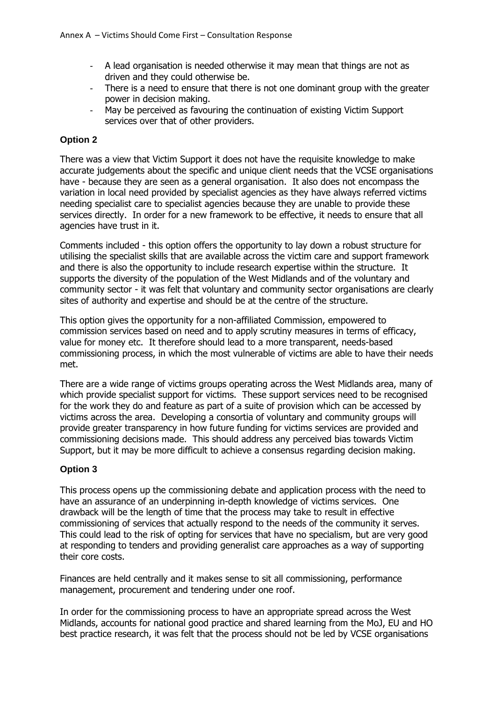- A lead organisation is needed otherwise it may mean that things are not as driven and they could otherwise be.
- There is a need to ensure that there is not one dominant group with the greater power in decision making.
- May be perceived as favouring the continuation of existing Victim Support services over that of other providers.

### **Option 2**

There was a view that Victim Support it does not have the requisite knowledge to make accurate judgements about the specific and unique client needs that the VCSE organisations have - because they are seen as a general organisation. It also does not encompass the variation in local need provided by specialist agencies as they have always referred victims needing specialist care to specialist agencies because they are unable to provide these services directly. In order for a new framework to be effective, it needs to ensure that all agencies have trust in it.

Comments included - this option offers the opportunity to lay down a robust structure for utilising the specialist skills that are available across the victim care and support framework and there is also the opportunity to include research expertise within the structure. It supports the diversity of the population of the West Midlands and of the voluntary and community sector - it was felt that voluntary and community sector organisations are clearly sites of authority and expertise and should be at the centre of the structure.

This option gives the opportunity for a non-affiliated Commission, empowered to commission services based on need and to apply scrutiny measures in terms of efficacy, value for money etc. It therefore should lead to a more transparent, needs-based commissioning process, in which the most vulnerable of victims are able to have their needs met.

There are a wide range of victims groups operating across the West Midlands area, many of which provide specialist support for victims. These support services need to be recognised for the work they do and feature as part of a suite of provision which can be accessed by victims across the area. Developing a consortia of voluntary and community groups will provide greater transparency in how future funding for victims services are provided and commissioning decisions made. This should address any perceived bias towards Victim Support, but it may be more difficult to achieve a consensus regarding decision making.

### **Option 3**

This process opens up the commissioning debate and application process with the need to have an assurance of an underpinning in-depth knowledge of victims services. One drawback will be the length of time that the process may take to result in effective commissioning of services that actually respond to the needs of the community it serves. This could lead to the risk of opting for services that have no specialism, but are very good at responding to tenders and providing generalist care approaches as a way of supporting their core costs.

Finances are held centrally and it makes sense to sit all commissioning, performance management, procurement and tendering under one roof.

In order for the commissioning process to have an appropriate spread across the West Midlands, accounts for national good practice and shared learning from the MoJ, EU and HO best practice research, it was felt that the process should not be led by VCSE organisations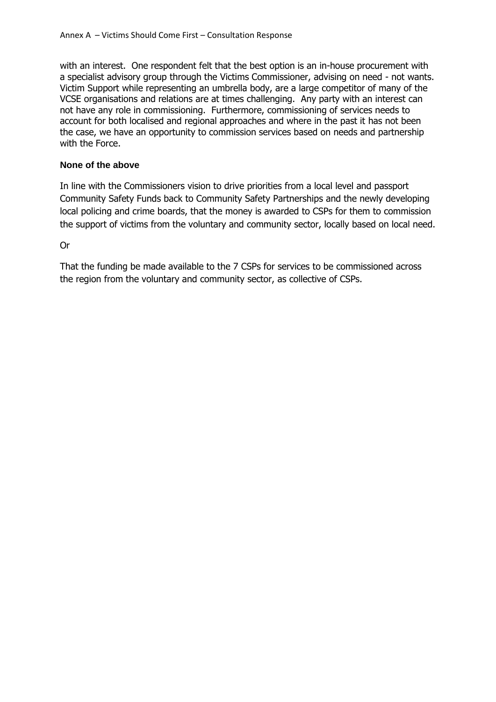with an interest. One respondent felt that the best option is an in-house procurement with a specialist advisory group through the Victims Commissioner, advising on need - not wants. Victim Support while representing an umbrella body, are a large competitor of many of the VCSE organisations and relations are at times challenging. Any party with an interest can not have any role in commissioning. Furthermore, commissioning of services needs to account for both localised and regional approaches and where in the past it has not been the case, we have an opportunity to commission services based on needs and partnership with the Force.

## **None of the above**

In line with the Commissioners vision to drive priorities from a local level and passport Community Safety Funds back to Community Safety Partnerships and the newly developing local policing and crime boards, that the money is awarded to CSPs for them to commission the support of victims from the voluntary and community sector, locally based on local need.

Or

That the funding be made available to the 7 CSPs for services to be commissioned across the region from the voluntary and community sector, as collective of CSPs.